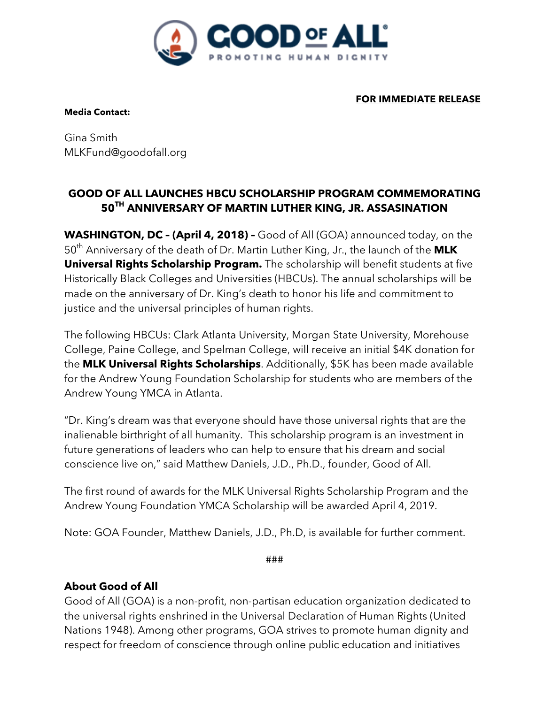

**Media Contact:**

**FOR IMMEDIATE RELEASE**

Gina Smith MLKFund@goodofall.org

## **GOOD OF ALL LAUNCHES HBCU SCHOLARSHIP PROGRAM COMMEMORATING 50TH ANNIVERSARY OF MARTIN LUTHER KING, JR. ASSASINATION**

**WASHINGTON, DC – (April 4, 2018) –** Good of All (GOA) announced today, on the 50th Anniversary of the death of Dr. Martin Luther King, Jr., the launch of the **MLK Universal Rights Scholarship Program.** The scholarship will benefit students at five Historically Black Colleges and Universities (HBCUs). The annual scholarships will be made on the anniversary of Dr. King's death to honor his life and commitment to justice and the universal principles of human rights.

The following HBCUs: Clark Atlanta University, Morgan State University, Morehouse College, Paine College, and Spelman College, will receive an initial \$4K donation for the **MLK Universal Rights Scholarships**. Additionally, \$5K has been made available for the Andrew Young Foundation Scholarship for students who are members of the Andrew Young YMCA in Atlanta.

"Dr. King's dream was that everyone should have those universal rights that are the inalienable birthright of all humanity. This scholarship program is an investment in future generations of leaders who can help to ensure that his dream and social conscience live on," said Matthew Daniels, J.D., Ph.D., founder, Good of All.

The first round of awards for the MLK Universal Rights Scholarship Program and the Andrew Young Foundation YMCA Scholarship will be awarded April 4, 2019.

Note: GOA Founder, Matthew Daniels, J.D., Ph.D, is available for further comment.

###

## **About Good of All**

Good of All (GOA) is a non-profit, non-partisan education organization dedicated to the universal rights enshrined in the Universal Declaration of Human Rights (United Nations 1948). Among other programs, GOA strives to promote human dignity and respect for freedom of conscience through online public education and initiatives